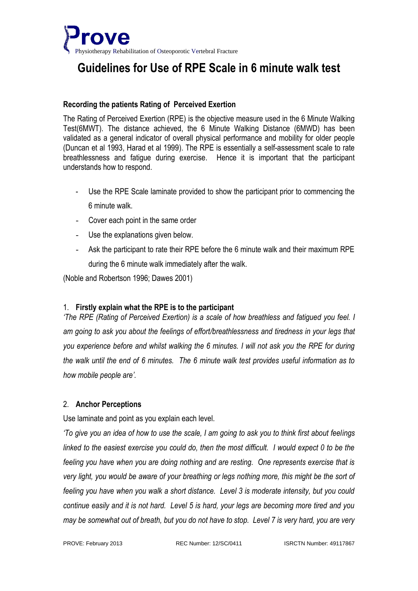

## **Guidelines for Use of RPE Scale in 6 minute walk test**

#### **Recording the patients Rating of Perceived Exertion**

The Rating of Perceived Exertion (RPE) is the objective measure used in the 6 Minute Walking Test(6MWT). The distance achieved, the 6 Minute Walking Distance (6MWD) has been validated as a general indicator of overall physical performance and mobility for older people (Duncan et al 1993, Harad et al 1999). The RPE is essentially a self-assessment scale to rate breathlessness and fatigue during exercise. Hence it is important that the participant understands how to respond.

- Use the RPE Scale laminate provided to show the participant prior to commencing the 6 minute walk.
- Cover each point in the same order
- Use the explanations given below.
- Ask the participant to rate their RPE before the 6 minute walk and their maximum RPE during the 6 minute walk immediately after the walk.

(Noble and Robertson 1996; Dawes 2001)

#### 1. **Firstly explain what the RPE is to the participant**

*'The RPE (Rating of Perceived Exertion) is a scale of how breathless and fatigued you feel. I am going to ask you about the feelings of effort/breathlessness and tiredness in your legs that you experience before and whilst walking the 6 minutes. I will not ask you the RPE for during the walk until the end of 6 minutes. The 6 minute walk test provides useful information as to how mobile people are'.*

#### 2. **Anchor Perceptions**

Use laminate and point as you explain each level.

*'To give you an idea of how to use the scale, I am going to ask you to think first about feelings linked to the easiest exercise you could do, then the most difficult. I would expect 0 to be the feeling you have when you are doing nothing and are resting. One represents exercise that is very light, you would be aware of your breathing or legs nothing more, this might be the sort of feeling you have when you walk a short distance. Level 3 is moderate intensity, but you could continue easily and it is not hard. Level 5 is hard, your legs are becoming more tired and you may be somewhat out of breath, but you do not have to stop. Level 7 is very hard, you are very*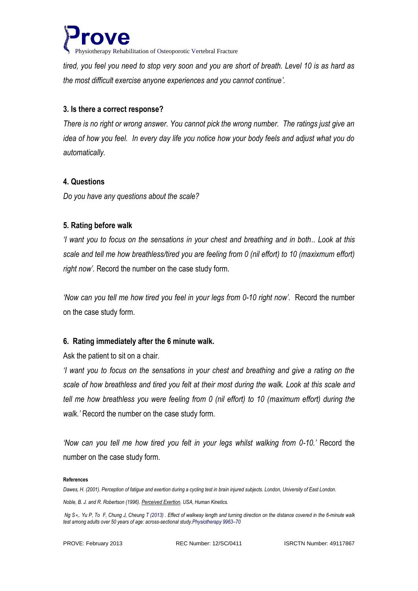

Physiotherapy Rehabilitation of Osteoporotic Vertebral Fracture

*tired, you feel you need to stop very soon and you are short of breath. Level 10 is as hard as the most difficult exercise anyone experiences and you cannot continue'.*

#### **3. Is there a correct response?**

*There is no right or wrong answer. You cannot pick the wrong number. The ratings just give an idea of how you feel. In every day life you notice how your body feels and adjust what you do automatically.* 

#### **4. Questions**

*Do you have any questions about the scale?*

### **5. Rating before walk**

*'I want you to focus on the sensations in your chest and breathing and in both.. Look at this scale and tell me how breathless/tired you are feeling from 0 (nil effort) to 10 (maxixmum effort) right now'.* Record the number on the case study form*.*

*'Now can you tell me how tired you feel in your legs from 0-10 right now'.* Record the number on the case study form.

### **6. Rating immediately after the 6 minute walk.**

Ask the patient to sit on a chair.

*'I want you to focus on the sensations in your chest and breathing and give a rating on the scale of how breathless and tired you felt at their most during the walk. Look at this scale and tell me how breathless you were feeling from 0 (nil effort) to 10 (maximum effort) during the walk.'* Record the number on the case study form.

*'Now can you tell me how tired you felt in your legs whilst walking from 0-10.'* Record the number on the case study form.

#### **References**

*Dawes, H. (2001). Perception of fatigue and exertion during a cycling test in brain injured subjects. London, University of East London. Noble, B. J. and R. Robertson (1996). Perceived Exertion. USA, Human Kinetics.*

*Ng S*∗*,. Yu P, To F, Chung J, Cheung T (2013) . Effect of walkway length and turning direction on the distance covered in the 6-minute walk test among adults over 50 years of age: across-sectional study.Physiotherapy 9963–70*